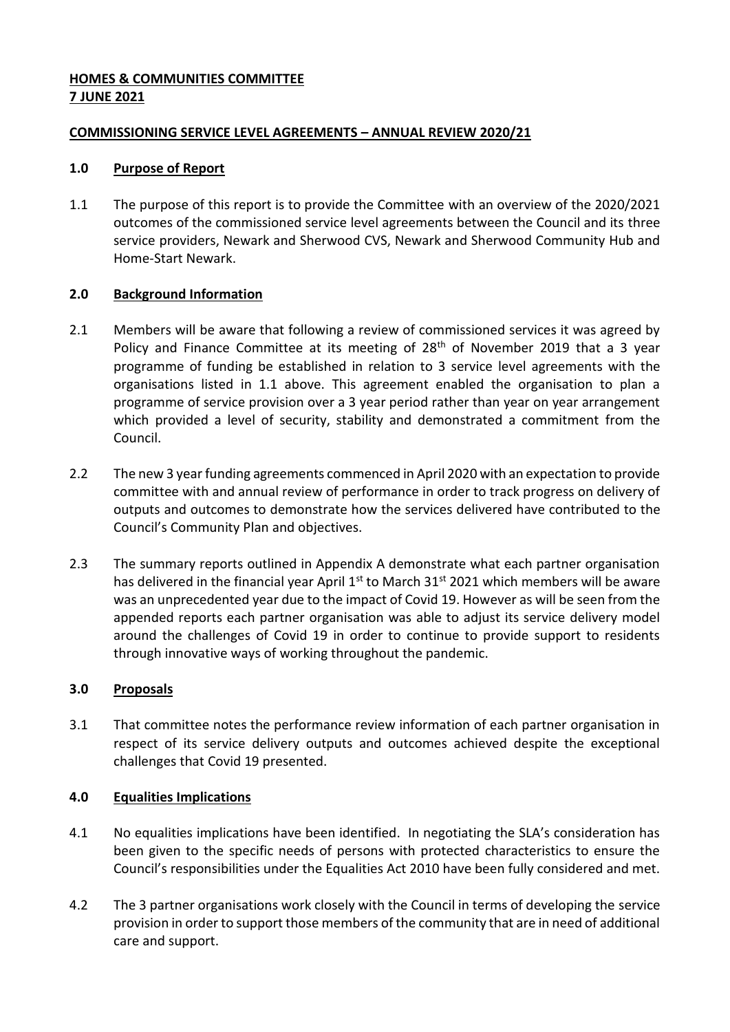# **HOMES & COMMUNITIES COMMITTEE 7 JUNE 2021**

## **COMMISSIONING SERVICE LEVEL AGREEMENTS – ANNUAL REVIEW 2020/21**

## **1.0 Purpose of Report**

1.1 The purpose of this report is to provide the Committee with an overview of the 2020/2021 outcomes of the commissioned service level agreements between the Council and its three service providers, Newark and Sherwood CVS, Newark and Sherwood Community Hub and Home-Start Newark.

## **2.0 Background Information**

- 2.1 Members will be aware that following a review of commissioned services it was agreed by Policy and Finance Committee at its meeting of 28<sup>th</sup> of November 2019 that a 3 year programme of funding be established in relation to 3 service level agreements with the organisations listed in 1.1 above. This agreement enabled the organisation to plan a programme of service provision over a 3 year period rather than year on year arrangement which provided a level of security, stability and demonstrated a commitment from the Council.
- 2.2 The new 3 year funding agreements commenced in April 2020 with an expectation to provide committee with and annual review of performance in order to track progress on delivery of outputs and outcomes to demonstrate how the services delivered have contributed to the Council's Community Plan and objectives.
- 2.3 The summary reports outlined in Appendix A demonstrate what each partner organisation has delivered in the financial year April  $1<sup>st</sup>$  to March 31<sup>st</sup> 2021 which members will be aware was an unprecedented year due to the impact of Covid 19. However as will be seen from the appended reports each partner organisation was able to adjust its service delivery model around the challenges of Covid 19 in order to continue to provide support to residents through innovative ways of working throughout the pandemic.

#### **3.0 Proposals**

3.1 That committee notes the performance review information of each partner organisation in respect of its service delivery outputs and outcomes achieved despite the exceptional challenges that Covid 19 presented.

#### **4.0 Equalities Implications**

- 4.1 No equalities implications have been identified. In negotiating the SLA's consideration has been given to the specific needs of persons with protected characteristics to ensure the Council's responsibilities under the Equalities Act 2010 have been fully considered and met.
- 4.2 The 3 partner organisations work closely with the Council in terms of developing the service provision in order to support those members of the community that are in need of additional care and support.